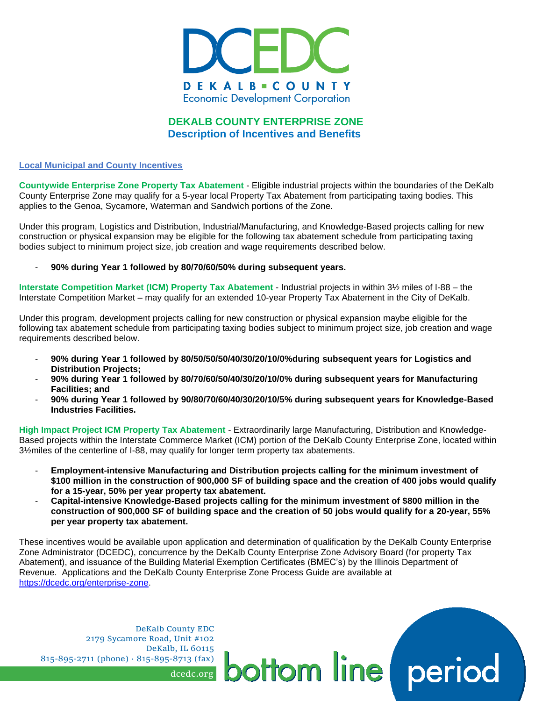

# **DEKALB COUNTY ENTERPRISE ZONE Description of Incentives and Benefits**

#### **Local Municipal and County Incentives**

**Countywide Enterprise Zone Property Tax Abatement** - Eligible industrial projects within the boundaries of the DeKalb County Enterprise Zone may qualify for a 5-year local Property Tax Abatement from participating taxing bodies. This applies to the Genoa, Sycamore, Waterman and Sandwich portions of the Zone.

Under this program, Logistics and Distribution, Industrial/Manufacturing, and Knowledge-Based projects calling for new construction or physical expansion may be eligible for the following tax abatement schedule from participating taxing bodies subject to minimum project size, job creation and wage requirements described below.

# - **90% during Year 1 followed by 80/70/60/50% during subsequent years.**

**Interstate Competition Market (ICM) Property Tax Abatement** - Industrial projects in within 3½ miles of I-88 – the Interstate Competition Market – may qualify for an extended 10-year Property Tax Abatement in the City of DeKalb.

Under this program, development projects calling for new construction or physical expansion maybe eligible for the following tax abatement schedule from participating taxing bodies subject to minimum project size, job creation and wage requirements described below.

- **90% during Year 1 followed by 80/50/50/50/40/30/20/10/0%during subsequent years for Logistics and Distribution Projects;**
- **90% during Year 1 followed by 80/70/60/50/40/30/20/10/0% during subsequent years for Manufacturing Facilities; and**
- **90% during Year 1 followed by 90/80/70/60/40/30/20/10/5% during subsequent years for Knowledge-Based Industries Facilities.**

**High Impact Project ICM Property Tax Abatement** - Extraordinarily large Manufacturing, Distribution and Knowledge-Based projects within the Interstate Commerce Market (ICM) portion of the DeKalb County Enterprise Zone, located within 3½miles of the centerline of I-88, may qualify for longer term property tax abatements.

- **Employment-intensive Manufacturing and Distribution projects calling for the minimum investment of \$100 million in the construction of 900,000 SF of building space and the creation of 400 jobs would qualify for a 15-year, 50% per year property tax abatement.**
- **Capital-intensive Knowledge-Based projects calling for the minimum investment of \$800 million in the construction of 900,000 SF of building space and the creation of 50 jobs would qualify for a 20-year, 55% per year property tax abatement.**

These incentives would be available upon application and determination of qualification by the DeKalb County Enterprise Zone Administrator (DCEDC), concurrence by the DeKalb County Enterprise Zone Advisory Board (for property Tax Abatement), and issuance of the Building Material Exemption Certificates (BMEC's) by the Illinois Department of Revenue. Applications and the DeKalb County Enterprise Zone Process Guide are available at [https://dcedc.org/enterprise-zone.](https://dcedc.org/enterprise-zone)

ottom line

DeKalb County EDC 2179 Sycamore Road, Unit #102 DeKalb, IL 60115 815-895-2711 (phone) · 815-895-8713 (fax)

dcedc.org